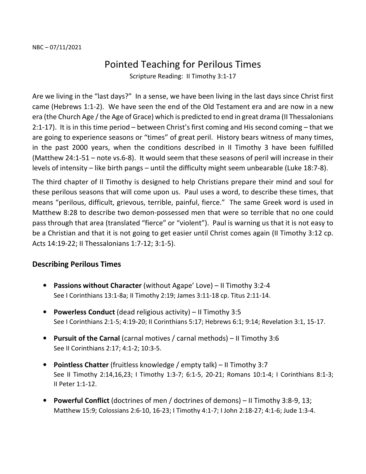## Pointed Teaching for Perilous Times

Scripture Reading: II Timothy 3:1-17

Are we living in the "last days?" In a sense, we have been living in the last days since Christ first came (Hebrews 1:1-2). We have seen the end of the Old Testament era and are now in a new era (the Church Age / the Age of Grace) which is predicted to end in great drama (II Thessalonians 2:1-17). It is in this time period – between Christ's first coming and His second coming – that we are going to experience seasons or "times" of great peril. History bears witness of many times, in the past 2000 years, when the conditions described in II Timothy 3 have been fulfilled (Matthew 24:1-51 – note vs.6-8). It would seem that these seasons of peril will increase in their levels of intensity – like birth pangs – until the difficulty might seem unbearable (Luke 18:7-8).

The third chapter of II Timothy is designed to help Christians prepare their mind and soul for these perilous seasons that will come upon us. Paul uses a word, to describe these times, that means "perilous, difficult, grievous, terrible, painful, fierce." The same Greek word is used in Matthew 8:28 to describe two demon-possessed men that were so terrible that no one could pass through that area (translated "fierce" or "violent"). Paul is warning us that it is not easy to be a Christian and that it is not going to get easier until Christ comes again (II Timothy 3:12 cp. Acts 14:19-22; II Thessalonians 1:7-12; 3:1-5).

## **Describing Perilous Times**

- **Passions without Character** (without Agape' Love) II Timothy 3:2-4 See I Corinthians 13:1-8a; II Timothy 2:19; James 3:11-18 cp. Titus 2:11-14.
- **Powerless Conduct** (dead religious activity) II Timothy 3:5 See I Corinthians 2:1-5; 4:19-20; II Corinthians 5:17; Hebrews 6:1; 9:14; Revelation 3:1, 15-17.
- **Pursuit of the Carnal** (carnal motives / carnal methods) II Timothy 3:6 See II Corinthians 2:17; 4:1-2; 10:3-5.
- **Pointless Chatter** (fruitless knowledge / empty talk) II Timothy 3:7 See II Timothy 2:14,16,23; I Timothy 1:3-7; 6:1-5, 20-21; Romans 10:1-4; I Corinthians 8:1-3; II Peter 1:1-12.
- **Powerful Conflict** (doctrines of men / doctrines of demons) II Timothy 3:8-9, 13; Matthew 15:9; Colossians 2:6-10, 16-23; I Timothy 4:1-7; I John 2:18-27; 4:1-6; Jude 1:3-4.